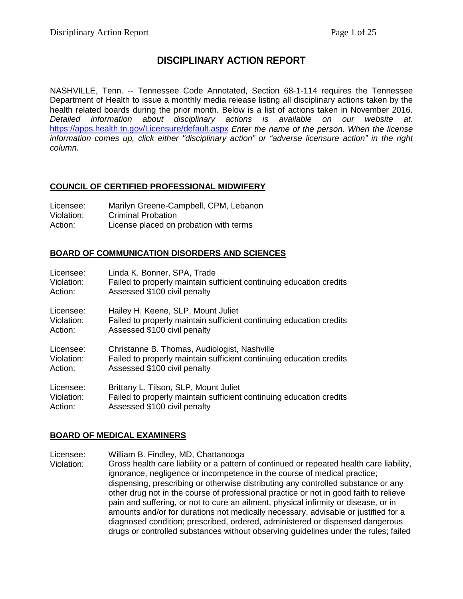# **DISCIPLINARY ACTION REPORT**

NASHVILLE, Tenn. -- Tennessee Code Annotated, Section 68-1-114 requires the Tennessee Department of Health to issue a monthly media release listing all disciplinary actions taken by the health related boards during the prior month. Below is a list of actions taken in November 2016. *Detailed information about disciplinary actions is available on our website at.* <https://apps.health.tn.gov/Licensure/default.aspx> *Enter the name of the person. When the license information comes up, click either "disciplinary action" or "adverse licensure action" in the right column.*

# **COUNCIL OF CERTIFIED PROFESSIONAL MIDWIFERY**

| Licensee:  | Marilyn Greene-Campbell, CPM, Lebanon  |
|------------|----------------------------------------|
| Violation: | <b>Criminal Probation</b>              |
| Action:    | License placed on probation with terms |

# **BOARD OF COMMUNICATION DISORDERS AND SCIENCES**

| Licensee:  | Linda K. Bonner, SPA, Trade                                         |
|------------|---------------------------------------------------------------------|
| Violation: | Failed to properly maintain sufficient continuing education credits |
| Action:    | Assessed \$100 civil penalty                                        |
| Licensee:  | Hailey H. Keene, SLP, Mount Juliet                                  |
| Violation: | Failed to properly maintain sufficient continuing education credits |
| Action:    | Assessed \$100 civil penalty                                        |
| Licensee:  | Christanne B. Thomas, Audiologist, Nashville                        |
| Violation: | Failed to properly maintain sufficient continuing education credits |
| Action:    | Assessed \$100 civil penalty                                        |
| Licensee:  | Brittany L. Tilson, SLP, Mount Juliet                               |
| Violation: | Failed to properly maintain sufficient continuing education credits |
| Action:    | Assessed \$100 civil penalty                                        |

# **BOARD OF MEDICAL EXAMINERS**

Licensee: William B. Findley, MD, Chattanooga

Violation: Gross health care liability or a pattern of continued or repeated health care liability, ignorance, negligence or incompetence in the course of medical practice; dispensing, prescribing or otherwise distributing any controlled substance or any other drug not in the course of professional practice or not in good faith to relieve pain and suffering, or not to cure an ailment, physical infirmity or disease, or in amounts and/or for durations not medically necessary, advisable or justified for a diagnosed condition; prescribed, ordered, administered or dispensed dangerous drugs or controlled substances without observing guidelines under the rules; failed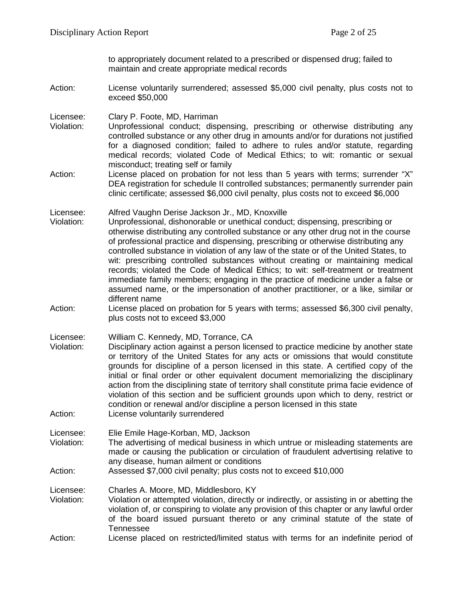to appropriately document related to a prescribed or dispensed drug; failed to maintain and create appropriate medical records

Action: License voluntarily surrendered; assessed \$5,000 civil penalty, plus costs not to exceed \$50,000

Licensee: Clary P. Foote, MD, Harriman

- Violation: Unprofessional conduct; dispensing, prescribing or otherwise distributing any controlled substance or any other drug in amounts and/or for durations not justified for a diagnosed condition; failed to adhere to rules and/or statute, regarding medical records; violated Code of Medical Ethics; to wit: romantic or sexual misconduct; treating self or family
- Action: License placed on probation for not less than 5 years with terms; surrender "X" DEA registration for schedule II controlled substances; permanently surrender pain clinic certificate; assessed \$6,000 civil penalty, plus costs not to exceed \$6,000

Licensee: Alfred Vaughn Derise Jackson Jr., MD, Knoxville

- Unprofessional, dishonorable or unethical conduct; dispensing, prescribing or otherwise distributing any controlled substance or any other drug not in the course of professional practice and dispensing, prescribing or otherwise distributing any controlled substance in violation of any law of the state or of the United States, to wit: prescribing controlled substances without creating or maintaining medical records; violated the Code of Medical Ethics; to wit: self-treatment or treatment immediate family members; engaging in the practice of medicine under a false or assumed name, or the impersonation of another practitioner, or a like, similar or different name
- Action: License placed on probation for 5 years with terms; assessed \$6,300 civil penalty, plus costs not to exceed \$3,000

Licensee: William C. Kennedy, MD, Torrance, CA

- Disciplinary action against a person licensed to practice medicine by another state or territory of the United States for any acts or omissions that would constitute grounds for discipline of a person licensed in this state. A certified copy of the initial or final order or other equivalent document memorializing the disciplinary action from the disciplining state of territory shall constitute prima facie evidence of violation of this section and be sufficient grounds upon which to deny, restrict or condition or renewal and/or discipline a person licensed in this state
- Action: License voluntarily surrendered

Licensee: Elie Emile Hage-Korban, MD, Jackson

- Violation: The advertising of medical business in which untrue or misleading statements are made or causing the publication or circulation of fraudulent advertising relative to any disease, human ailment or conditions
- Action: Assessed \$7,000 civil penalty; plus costs not to exceed \$10,000

Licensee: Charles A. Moore, MD, Middlesboro, KY

- Violation: Violation or attempted violation, directly or indirectly, or assisting in or abetting the violation of, or conspiring to violate any provision of this chapter or any lawful order of the board issued pursuant thereto or any criminal statute of the state of Tennessee
- Action: License placed on restricted/limited status with terms for an indefinite period of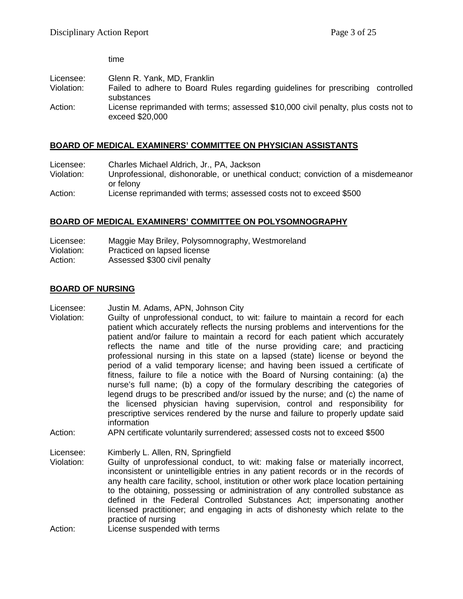time

Licensee: Glenn R. Yank, MD, Franklin<br>Violation: Failed to adhere to Board R Failed to adhere to Board Rules regarding guidelines for prescribing controlled substances Action: License reprimanded with terms; assessed \$10,000 civil penalty, plus costs not to exceed \$20,000

# **BOARD OF MEDICAL EXAMINERS' COMMITTEE ON PHYSICIAN ASSISTANTS**

| Licensee:  | Charles Michael Aldrich, Jr., PA, Jackson                                                    |
|------------|----------------------------------------------------------------------------------------------|
| Violation: | Unprofessional, dishonorable, or unethical conduct; conviction of a misdemeanor<br>or felony |
| Action:    | License reprimanded with terms; assessed costs not to exceed \$500                           |

# **BOARD OF MEDICAL EXAMINERS' COMMITTEE ON POLYSOMNOGRAPHY**

| Licensee:  | Maggie May Briley, Polysomnography, Westmoreland |
|------------|--------------------------------------------------|
| Violation: | Practiced on lapsed license                      |
| Action:    | Assessed \$300 civil penalty                     |

# **BOARD OF NURSING**

Licensee: Justin M. Adams, APN, Johnson City

- Violation: Guilty of unprofessional conduct, to wit: failure to maintain a record for each patient which accurately reflects the nursing problems and interventions for the patient and/or failure to maintain a record for each patient which accurately reflects the name and title of the nurse providing care; and practicing professional nursing in this state on a lapsed (state) license or beyond the period of a valid temporary license; and having been issued a certificate of fitness, failure to file a notice with the Board of Nursing containing: (a) the nurse's full name; (b) a copy of the formulary describing the categories of legend drugs to be prescribed and/or issued by the nurse; and (c) the name of the licensed physician having supervision, control and responsibility for prescriptive services rendered by the nurse and failure to properly update said information
- Action: APN certificate voluntarily surrendered; assessed costs not to exceed \$500

Licensee: Kimberly L. Allen, RN, Springfield

- Violation: Guilty of unprofessional conduct, to wit: making false or materially incorrect, inconsistent or unintelligible entries in any patient records or in the records of any health care facility, school, institution or other work place location pertaining to the obtaining, possessing or administration of any controlled substance as defined in the Federal Controlled Substances Act; impersonating another licensed practitioner; and engaging in acts of dishonesty which relate to the practice of nursing
- Action: License suspended with terms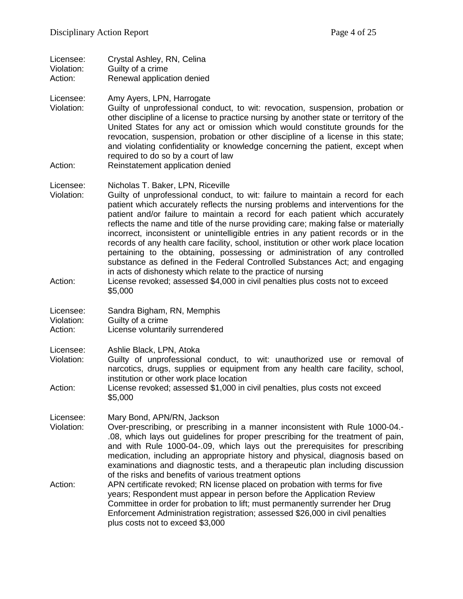| Licensee:  | Crystal Ashley, RN, Celina |
|------------|----------------------------|
| Violation: | Guilty of a crime          |
| Action:    | Renewal application denied |

Licensee: Amy Ayers, LPN, Harrogate

Violation: Guilty of unprofessional conduct, to wit: revocation, suspension, probation or other discipline of a license to practice nursing by another state or territory of the United States for any act or omission which would constitute grounds for the revocation, suspension, probation or other discipline of a license in this state; and violating confidentiality or knowledge concerning the patient, except when required to do so by a court of law

Action: Reinstatement application denied

#### Licensee: Nicholas T. Baker, LPN, Riceville

- Violation: Guilty of unprofessional conduct, to wit: failure to maintain a record for each patient which accurately reflects the nursing problems and interventions for the patient and/or failure to maintain a record for each patient which accurately reflects the name and title of the nurse providing care; making false or materially incorrect, inconsistent or unintelligible entries in any patient records or in the records of any health care facility, school, institution or other work place location pertaining to the obtaining, possessing or administration of any controlled substance as defined in the Federal Controlled Substances Act; and engaging in acts of dishonesty which relate to the practice of nursing
- Action: License revoked; assessed \$4,000 in civil penalties plus costs not to exceed \$5,000

Licensee: Sandra Bigham, RN, Memphis Violation: Guilty of a crime Action: License voluntarily surrendered

Licensee: Ashlie Black, LPN, Atoka

- Violation: Guilty of unprofessional conduct, to wit: unauthorized use or removal of narcotics, drugs, supplies or equipment from any health care facility, school, institution or other work place location
- Action: License revoked; assessed \$1,000 in civil penalties, plus costs not exceed \$5,000

Licensee: Mary Bond, APN/RN, Jackson

- Violation: Over-prescribing, or prescribing in a manner inconsistent with Rule 1000-04.- .08, which lays out guidelines for proper prescribing for the treatment of pain, and with Rule 1000-04-.09, which lays out the prerequisites for prescribing medication, including an appropriate history and physical, diagnosis based on examinations and diagnostic tests, and a therapeutic plan including discussion of the risks and benefits of various treatment options
- Action: APN certificate revoked; RN license placed on probation with terms for five years; Respondent must appear in person before the Application Review Committee in order for probation to lift; must permanently surrender her Drug Enforcement Administration registration; assessed \$26,000 in civil penalties plus costs not to exceed \$3,000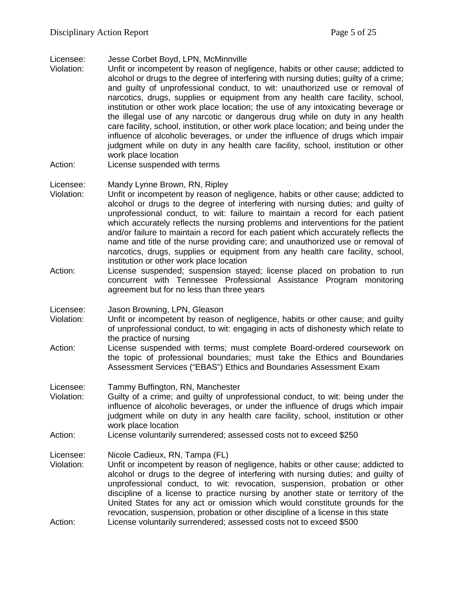Licensee: Jesse Corbet Boyd, LPN, McMinnville

- Unfit or incompetent by reason of negligence, habits or other cause; addicted to alcohol or drugs to the degree of interfering with nursing duties; guilty of a crime; and guilty of unprofessional conduct, to wit: unauthorized use or removal of narcotics, drugs, supplies or equipment from any health care facility, school, institution or other work place location; the use of any intoxicating beverage or the illegal use of any narcotic or dangerous drug while on duty in any health care facility, school, institution, or other work place location; and being under the influence of alcoholic beverages, or under the influence of drugs which impair judgment while on duty in any health care facility, school, institution or other work place location
- Action: License suspended with terms

#### Licensee: Mandy Lynne Brown, RN, Ripley

- Violation: Unfit or incompetent by reason of negligence, habits or other cause; addicted to alcohol or drugs to the degree of interfering with nursing duties; and guilty of unprofessional conduct, to wit: failure to maintain a record for each patient which accurately reflects the nursing problems and interventions for the patient and/or failure to maintain a record for each patient which accurately reflects the name and title of the nurse providing care; and unauthorized use or removal of narcotics, drugs, supplies or equipment from any health care facility, school, institution or other work place location
- Action: License suspended; suspension stayed; license placed on probation to run concurrent with Tennessee Professional Assistance Program monitoring agreement but for no less than three years

Licensee: Jason Browning, LPN, Gleason

- Violation: Unfit or incompetent by reason of negligence, habits or other cause; and guilty of unprofessional conduct, to wit: engaging in acts of dishonesty which relate to the practice of nursing
- Action: License suspended with terms; must complete Board-ordered coursework on the topic of professional boundaries; must take the Ethics and Boundaries Assessment Services ("EBAS") Ethics and Boundaries Assessment Exam
- Licensee: Tammy Buffington, RN, Manchester<br>Violation: Guilty of a crime: and quilty of unpr
- Guilty of a crime; and guilty of unprofessional conduct, to wit: being under the influence of alcoholic beverages, or under the influence of drugs which impair judgment while on duty in any health care facility, school, institution or other work place location
- Action: License voluntarily surrendered; assessed costs not to exceed \$250

Licensee: Nicole Cadieux, RN, Tampa (FL)

Violation: Unfit or incompetent by reason of negligence, habits or other cause; addicted to alcohol or drugs to the degree of interfering with nursing duties; and guilty of unprofessional conduct, to wit: revocation, suspension, probation or other discipline of a license to practice nursing by another state or territory of the United States for any act or omission which would constitute grounds for the revocation, suspension, probation or other discipline of a license in this state Action: License voluntarily surrendered; assessed costs not to exceed \$500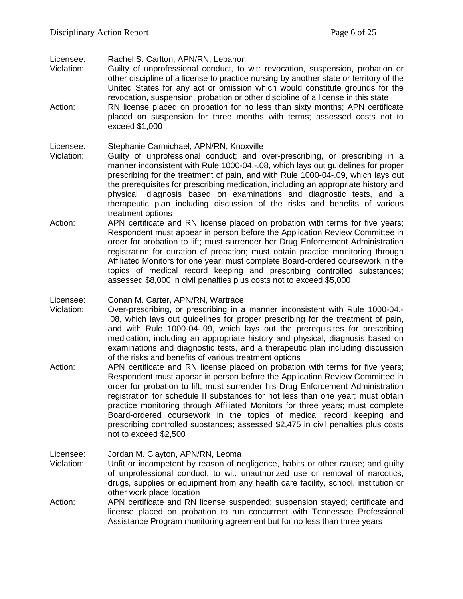Licensee: Rachel S. Carlton, APN/RN, Lebanon<br>Violation: Guilty of unprofessional conduct, to

- Guilty of unprofessional conduct, to wit: revocation, suspension, probation or other discipline of a license to practice nursing by another state or territory of the United States for any act or omission which would constitute grounds for the revocation, suspension, probation or other discipline of a license in this state
- Action: RN license placed on probation for no less than sixty months; APN certificate placed on suspension for three months with terms; assessed costs not to exceed \$1,000

Licensee: Stephanie Carmichael, APN/RN, Knoxville

- Violation: Guilty of unprofessional conduct; and over-prescribing, or prescribing in a manner inconsistent with Rule 1000-04.-.08, which lays out guidelines for proper prescribing for the treatment of pain, and with Rule 1000-04-.09, which lays out the prerequisites for prescribing medication, including an appropriate history and physical, diagnosis based on examinations and diagnostic tests, and a therapeutic plan including discussion of the risks and benefits of various treatment options
- Action: APN certificate and RN license placed on probation with terms for five years; Respondent must appear in person before the Application Review Committee in order for probation to lift; must surrender her Drug Enforcement Administration registration for duration of probation; must obtain practice monitoring through Affiliated Monitors for one year; must complete Board-ordered coursework in the topics of medical record keeping and prescribing controlled substances; assessed \$8,000 in civil penalties plus costs not to exceed \$5,000
- Licensee: Conan M. Carter, APN/RN, Wartrace
- Violation: Over-prescribing, or prescribing in a manner inconsistent with Rule 1000-04.- .08, which lays out guidelines for proper prescribing for the treatment of pain, and with Rule 1000-04-.09, which lays out the prerequisites for prescribing medication, including an appropriate history and physical, diagnosis based on examinations and diagnostic tests, and a therapeutic plan including discussion of the risks and benefits of various treatment options
- Action: APN certificate and RN license placed on probation with terms for five years; Respondent must appear in person before the Application Review Committee in order for probation to lift; must surrender his Drug Enforcement Administration registration for schedule II substances for not less than one year; must obtain practice monitoring through Affiliated Monitors for three years; must complete Board-ordered coursework in the topics of medical record keeping and prescribing controlled substances; assessed \$2,475 in civil penalties plus costs not to exceed \$2,500
- Licensee: Jordan M. Clayton, APN/RN, Leoma Violation: Unfit or incompetent by reason of negligence, habits or other cause; and guilty of unprofessional conduct, to wit: unauthorized use or removal of narcotics, drugs, supplies or equipment from any health care facility, school, institution or other work place location
- Action: APN certificate and RN license suspended; suspension stayed; certificate and license placed on probation to run concurrent with Tennessee Professional Assistance Program monitoring agreement but for no less than three years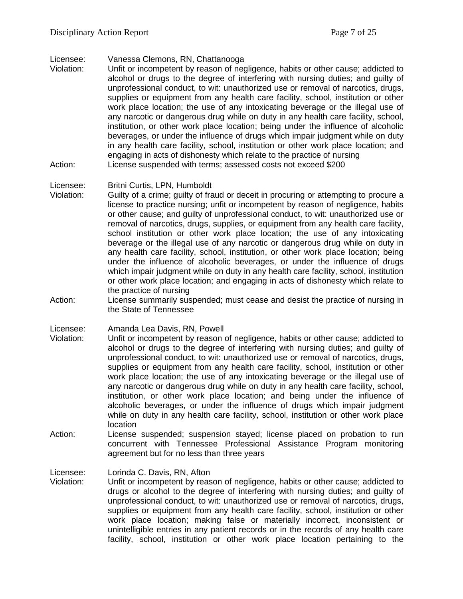Licensee: Vanessa Clemons, RN, Chattanooga

Unfit or incompetent by reason of negligence, habits or other cause; addicted to alcohol or drugs to the degree of interfering with nursing duties; and guilty of unprofessional conduct, to wit: unauthorized use or removal of narcotics, drugs, supplies or equipment from any health care facility, school, institution or other work place location; the use of any intoxicating beverage or the illegal use of any narcotic or dangerous drug while on duty in any health care facility, school, institution, or other work place location; being under the influence of alcoholic beverages, or under the influence of drugs which impair judgment while on duty in any health care facility, school, institution or other work place location; and engaging in acts of dishonesty which relate to the practice of nursing Action: License suspended with terms; assessed costs not exceed \$200

#### Licensee: Britni Curtis, LPN, Humboldt

- Violation: Guilty of a crime; guilty of fraud or deceit in procuring or attempting to procure a license to practice nursing; unfit or incompetent by reason of negligence, habits or other cause; and guilty of unprofessional conduct, to wit: unauthorized use or removal of narcotics, drugs, supplies, or equipment from any health care facility, school institution or other work place location; the use of any intoxicating beverage or the illegal use of any narcotic or dangerous drug while on duty in any health care facility, school, institution, or other work place location; being under the influence of alcoholic beverages, or under the influence of drugs which impair judgment while on duty in any health care facility, school, institution or other work place location; and engaging in acts of dishonesty which relate to the practice of nursing
- Action: License summarily suspended; must cease and desist the practice of nursing in the State of Tennessee

Licensee: Amanda Lea Davis, RN, Powell

- Violation: Unfit or incompetent by reason of negligence, habits or other cause; addicted to alcohol or drugs to the degree of interfering with nursing duties; and guilty of unprofessional conduct, to wit: unauthorized use or removal of narcotics, drugs, supplies or equipment from any health care facility, school, institution or other work place location; the use of any intoxicating beverage or the illegal use of any narcotic or dangerous drug while on duty in any health care facility, school, institution, or other work place location; and being under the influence of alcoholic beverages, or under the influence of drugs which impair judgment while on duty in any health care facility, school, institution or other work place location
- Action: License suspended; suspension stayed; license placed on probation to run concurrent with Tennessee Professional Assistance Program monitoring agreement but for no less than three years

Licensee: Lorinda C. Davis, RN, Afton

Violation: Unfit or incompetent by reason of negligence, habits or other cause; addicted to drugs or alcohol to the degree of interfering with nursing duties; and guilty of unprofessional conduct, to wit: unauthorized use or removal of narcotics, drugs, supplies or equipment from any health care facility, school, institution or other work place location; making false or materially incorrect, inconsistent or unintelligible entries in any patient records or in the records of any health care facility, school, institution or other work place location pertaining to the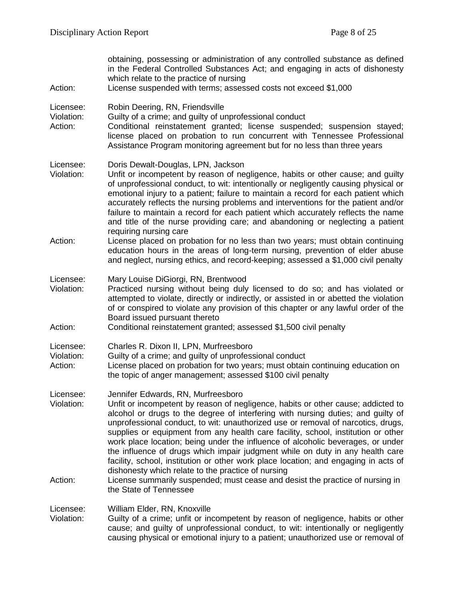| Action:                            | obtaining, possessing or administration of any controlled substance as defined<br>in the Federal Controlled Substances Act; and engaging in acts of dishonesty<br>which relate to the practice of nursing<br>License suspended with terms; assessed costs not exceed \$1,000                                                                                                                                                                                                                                                                                                                                                                                                                         |
|------------------------------------|------------------------------------------------------------------------------------------------------------------------------------------------------------------------------------------------------------------------------------------------------------------------------------------------------------------------------------------------------------------------------------------------------------------------------------------------------------------------------------------------------------------------------------------------------------------------------------------------------------------------------------------------------------------------------------------------------|
| Licensee:<br>Violation:<br>Action: | Robin Deering, RN, Friendsville<br>Guilty of a crime; and guilty of unprofessional conduct<br>Conditional reinstatement granted; license suspended; suspension stayed;<br>license placed on probation to run concurrent with Tennessee Professional<br>Assistance Program monitoring agreement but for no less than three years                                                                                                                                                                                                                                                                                                                                                                      |
| Licensee:<br>Violation:            | Doris Dewalt-Douglas, LPN, Jackson<br>Unfit or incompetent by reason of negligence, habits or other cause; and guilty<br>of unprofessional conduct, to wit: intentionally or negligently causing physical or<br>emotional injury to a patient; failure to maintain a record for each patient which<br>accurately reflects the nursing problems and interventions for the patient and/or<br>failure to maintain a record for each patient which accurately reflects the name<br>and title of the nurse providing care; and abandoning or neglecting a patient<br>requiring nursing care                                                                                                               |
| Action:                            | License placed on probation for no less than two years; must obtain continuing<br>education hours in the areas of long-term nursing, prevention of elder abuse<br>and neglect, nursing ethics, and record-keeping; assessed a \$1,000 civil penalty                                                                                                                                                                                                                                                                                                                                                                                                                                                  |
| Licensee:<br>Violation:<br>Action: | Mary Louise DiGiorgi, RN, Brentwood<br>Practiced nursing without being duly licensed to do so; and has violated or<br>attempted to violate, directly or indirectly, or assisted in or abetted the violation<br>of or conspired to violate any provision of this chapter or any lawful order of the<br>Board issued pursuant thereto<br>Conditional reinstatement granted; assessed \$1,500 civil penalty                                                                                                                                                                                                                                                                                             |
| Licensee:<br>Violation:<br>Action: | Charles R. Dixon II, LPN, Murfreesboro<br>Guilty of a crime; and guilty of unprofessional conduct<br>License placed on probation for two years; must obtain continuing education on<br>the topic of anger management; assessed \$100 civil penalty                                                                                                                                                                                                                                                                                                                                                                                                                                                   |
| Licensee:<br>Violation:            | Jennifer Edwards, RN, Murfreesboro<br>Unfit or incompetent by reason of negligence, habits or other cause; addicted to<br>alcohol or drugs to the degree of interfering with nursing duties; and guilty of<br>unprofessional conduct, to wit: unauthorized use or removal of narcotics, drugs,<br>supplies or equipment from any health care facility, school, institution or other<br>work place location; being under the influence of alcoholic beverages, or under<br>the influence of drugs which impair judgment while on duty in any health care<br>facility, school, institution or other work place location; and engaging in acts of<br>dishonesty which relate to the practice of nursing |
| Action:                            | License summarily suspended; must cease and desist the practice of nursing in<br>the State of Tennessee                                                                                                                                                                                                                                                                                                                                                                                                                                                                                                                                                                                              |
| Licensee:<br>Violation:            | William Elder, RN, Knoxville<br>Guilty of a crime; unfit or incompetent by reason of negligence, habits or other<br>cause; and guilty of unprofessional conduct, to wit: intentionally or negligently                                                                                                                                                                                                                                                                                                                                                                                                                                                                                                |

causing physical or emotional injury to a patient; unauthorized use or removal of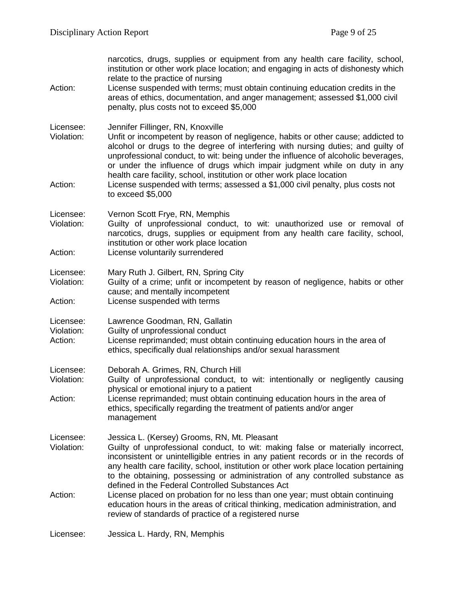| Action:                            | narcotics, drugs, supplies or equipment from any health care facility, school,<br>institution or other work place location; and engaging in acts of dishonesty which<br>relate to the practice of nursing<br>License suspended with terms; must obtain continuing education credits in the<br>areas of ethics, documentation, and anger management; assessed \$1,000 civil<br>penalty, plus costs not to exceed \$5,000                                                                                                                                       |
|------------------------------------|---------------------------------------------------------------------------------------------------------------------------------------------------------------------------------------------------------------------------------------------------------------------------------------------------------------------------------------------------------------------------------------------------------------------------------------------------------------------------------------------------------------------------------------------------------------|
| Licensee:<br>Violation:<br>Action: | Jennifer Fillinger, RN, Knoxville<br>Unfit or incompetent by reason of negligence, habits or other cause; addicted to<br>alcohol or drugs to the degree of interfering with nursing duties; and guilty of<br>unprofessional conduct, to wit: being under the influence of alcoholic beverages,<br>or under the influence of drugs which impair judgment while on duty in any<br>health care facility, school, institution or other work place location<br>License suspended with terms; assessed a \$1,000 civil penalty, plus costs not<br>to exceed \$5,000 |
| Licensee:<br>Violation:<br>Action: | Vernon Scott Frye, RN, Memphis<br>Guilty of unprofessional conduct, to wit: unauthorized use or removal of<br>narcotics, drugs, supplies or equipment from any health care facility, school,<br>institution or other work place location<br>License voluntarily surrendered                                                                                                                                                                                                                                                                                   |
| Licensee:<br>Violation:<br>Action: | Mary Ruth J. Gilbert, RN, Spring City<br>Guilty of a crime; unfit or incompetent by reason of negligence, habits or other<br>cause; and mentally incompetent<br>License suspended with terms                                                                                                                                                                                                                                                                                                                                                                  |
| Licensee:<br>Violation:<br>Action: | Lawrence Goodman, RN, Gallatin<br>Guilty of unprofessional conduct<br>License reprimanded; must obtain continuing education hours in the area of<br>ethics, specifically dual relationships and/or sexual harassment                                                                                                                                                                                                                                                                                                                                          |
| Licensee:<br>Violation:<br>Action: | Deborah A. Grimes, RN, Church Hill<br>Guilty of unprofessional conduct, to wit: intentionally or negligently causing<br>physical or emotional injury to a patient<br>License reprimanded; must obtain continuing education hours in the area of<br>ethics, specifically regarding the treatment of patients and/or anger<br>management                                                                                                                                                                                                                        |
| Licensee:<br>Violation:            | Jessica L. (Kersey) Grooms, RN, Mt. Pleasant<br>Guilty of unprofessional conduct, to wit: making false or materially incorrect,<br>inconsistent or unintelligible entries in any patient records or in the records of<br>any health care facility, school, institution or other work place location pertaining<br>to the obtaining, possessing or administration of any controlled substance as<br>defined in the Federal Controlled Substances Act                                                                                                           |
| Action:                            | License placed on probation for no less than one year; must obtain continuing<br>education hours in the areas of critical thinking, medication administration, and<br>review of standards of practice of a registered nurse                                                                                                                                                                                                                                                                                                                                   |
| Licensee:                          | Jessica L. Hardy, RN, Memphis                                                                                                                                                                                                                                                                                                                                                                                                                                                                                                                                 |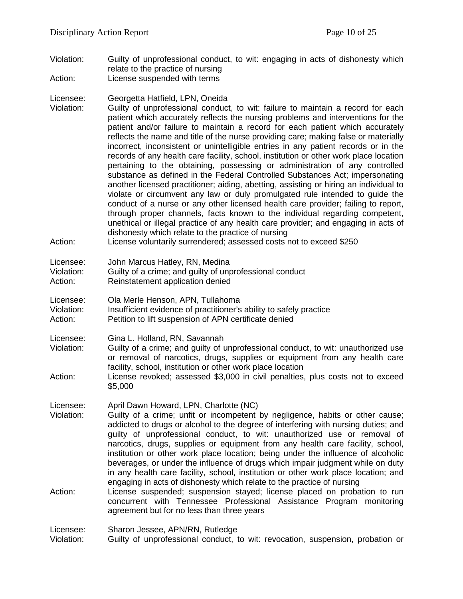- Violation: Guilty of unprofessional conduct, to wit: engaging in acts of dishonesty which relate to the practice of nursing Action: License suspended with terms
- Licensee: Georgetta Hatfield, LPN, Oneida
- Violation: Guilty of unprofessional conduct, to wit: failure to maintain a record for each patient which accurately reflects the nursing problems and interventions for the patient and/or failure to maintain a record for each patient which accurately reflects the name and title of the nurse providing care; making false or materially incorrect, inconsistent or unintelligible entries in any patient records or in the records of any health care facility, school, institution or other work place location pertaining to the obtaining, possessing or administration of any controlled substance as defined in the Federal Controlled Substances Act; impersonating another licensed practitioner; aiding, abetting, assisting or hiring an individual to violate or circumvent any law or duly promulgated rule intended to guide the conduct of a nurse or any other licensed health care provider; failing to report, through proper channels, facts known to the individual regarding competent, unethical or illegal practice of any health care provider; and engaging in acts of dishonesty which relate to the practice of nursing
- Action: License voluntarily surrendered; assessed costs not to exceed \$250

| Licensee:                | John Marcus Hatley, RN, Medina            |
|--------------------------|-------------------------------------------|
| $\overline{\mathcal{L}}$ | Cuilty of a orimon and quilty of upprofoo |

- Violation: Guilty of a crime; and guilty of unprofessional conduct
- Action: Reinstatement application denied
- Licensee: Ola Merle Henson, APN, Tullahoma
- Violation: Insufficient evidence of practitioner's ability to safely practice
- Action: Petition to lift suspension of APN certificate denied
- Licensee: Gina L. Holland, RN, Savannah<br>Violation: Guilty of a crime; and guilty of u
- Guilty of a crime; and guilty of unprofessional conduct, to wit: unauthorized use or removal of narcotics, drugs, supplies or equipment from any health care facility, school, institution or other work place location
- Action: License revoked; assessed \$3,000 in civil penalties, plus costs not to exceed \$5,000

Licensee: April Dawn Howard, LPN, Charlotte (NC)

- Violation: Guilty of a crime; unfit or incompetent by negligence, habits or other cause; addicted to drugs or alcohol to the degree of interfering with nursing duties; and guilty of unprofessional conduct, to wit: unauthorized use or removal of narcotics, drugs, supplies or equipment from any health care facility, school, institution or other work place location; being under the influence of alcoholic beverages, or under the influence of drugs which impair judgment while on duty in any health care facility, school, institution or other work place location; and engaging in acts of dishonesty which relate to the practice of nursing
- Action: License suspended; suspension stayed; license placed on probation to run concurrent with Tennessee Professional Assistance Program monitoring agreement but for no less than three years

Licensee: Sharon Jessee, APN/RN, Rutledge

Violation: Guilty of unprofessional conduct, to wit: revocation, suspension, probation or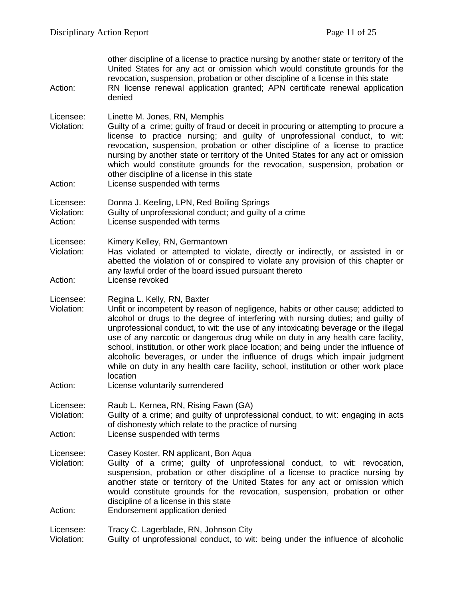| Action:                            | other discipline of a license to practice nursing by another state or territory of the<br>United States for any act or omission which would constitute grounds for the<br>revocation, suspension, probation or other discipline of a license in this state<br>RN license renewal application granted; APN certificate renewal application<br>denied                                                                                                                                                                                                                                                                                                   |
|------------------------------------|-------------------------------------------------------------------------------------------------------------------------------------------------------------------------------------------------------------------------------------------------------------------------------------------------------------------------------------------------------------------------------------------------------------------------------------------------------------------------------------------------------------------------------------------------------------------------------------------------------------------------------------------------------|
| Licensee:<br>Violation:<br>Action: | Linette M. Jones, RN, Memphis<br>Guilty of a crime; guilty of fraud or deceit in procuring or attempting to procure a<br>license to practice nursing; and guilty of unprofessional conduct, to wit:<br>revocation, suspension, probation or other discipline of a license to practice<br>nursing by another state or territory of the United States for any act or omission<br>which would constitute grounds for the revocation, suspension, probation or<br>other discipline of a license in this state<br>License suspended with terms                                                                                                             |
| Licensee:                          | Donna J. Keeling, LPN, Red Boiling Springs                                                                                                                                                                                                                                                                                                                                                                                                                                                                                                                                                                                                            |
| Violation:<br>Action:              | Guilty of unprofessional conduct; and guilty of a crime<br>License suspended with terms                                                                                                                                                                                                                                                                                                                                                                                                                                                                                                                                                               |
| Licensee:<br>Violation:            | Kimery Kelley, RN, Germantown<br>Has violated or attempted to violate, directly or indirectly, or assisted in or<br>abetted the violation of or conspired to violate any provision of this chapter or<br>any lawful order of the board issued pursuant thereto                                                                                                                                                                                                                                                                                                                                                                                        |
| Action:                            | License revoked                                                                                                                                                                                                                                                                                                                                                                                                                                                                                                                                                                                                                                       |
| Licensee:<br>Violation:            | Regina L. Kelly, RN, Baxter<br>Unfit or incompetent by reason of negligence, habits or other cause; addicted to<br>alcohol or drugs to the degree of interfering with nursing duties; and guilty of<br>unprofessional conduct, to wit: the use of any intoxicating beverage or the illegal<br>use of any narcotic or dangerous drug while on duty in any health care facility,<br>school, institution, or other work place location; and being under the influence of<br>alcoholic beverages, or under the influence of drugs which impair judgment<br>while on duty in any health care facility, school, institution or other work place<br>location |
| Action:                            | License voluntarily surrendered                                                                                                                                                                                                                                                                                                                                                                                                                                                                                                                                                                                                                       |
| Licensee:<br>Violation:            | Raub L. Kernea, RN, Rising Fawn (GA)<br>Guilty of a crime; and guilty of unprofessional conduct, to wit: engaging in acts<br>of dishonesty which relate to the practice of nursing                                                                                                                                                                                                                                                                                                                                                                                                                                                                    |
| Action:                            | License suspended with terms                                                                                                                                                                                                                                                                                                                                                                                                                                                                                                                                                                                                                          |
| Licensee:<br>Violation:<br>Action: | Casey Koster, RN applicant, Bon Aqua<br>Guilty of a crime; guilty of unprofessional conduct, to wit: revocation,<br>suspension, probation or other discipline of a license to practice nursing by<br>another state or territory of the United States for any act or omission which<br>would constitute grounds for the revocation, suspension, probation or other<br>discipline of a license in this state<br>Endorsement application denied                                                                                                                                                                                                          |
| Licensee:                          | Tracy C. Lagerblade, RN, Johnson City                                                                                                                                                                                                                                                                                                                                                                                                                                                                                                                                                                                                                 |
| Violation:                         | Guilty of unprofessional conduct, to wit: being under the influence of alcoholic                                                                                                                                                                                                                                                                                                                                                                                                                                                                                                                                                                      |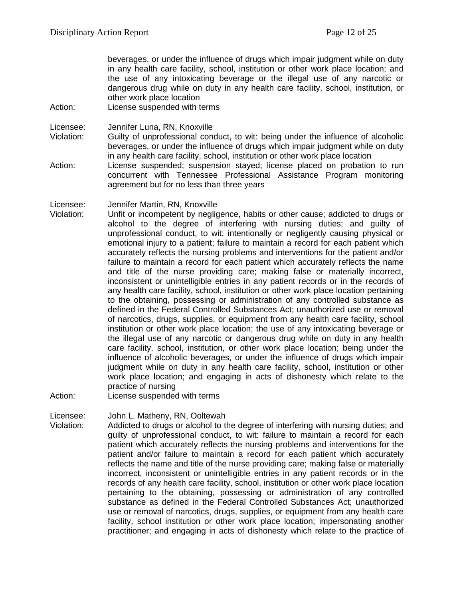beverages, or under the influence of drugs which impair judgment while on duty in any health care facility, school, institution or other work place location; and the use of any intoxicating beverage or the illegal use of any narcotic or dangerous drug while on duty in any health care facility, school, institution, or other work place location

Action: License suspended with terms

Licensee: Jennifer Luna, RN, Knoxville

- Violation: Guilty of unprofessional conduct, to wit: being under the influence of alcoholic beverages, or under the influence of drugs which impair judgment while on duty in any health care facility, school, institution or other work place location
- Action: License suspended; suspension stayed; license placed on probation to run concurrent with Tennessee Professional Assistance Program monitoring agreement but for no less than three years

Licensee: Jennifer Martin, RN, Knoxville

- Violation: Unfit or incompetent by negligence, habits or other cause; addicted to drugs or alcohol to the degree of interfering with nursing duties; and guilty of unprofessional conduct, to wit: intentionally or negligently causing physical or emotional injury to a patient; failure to maintain a record for each patient which accurately reflects the nursing problems and interventions for the patient and/or failure to maintain a record for each patient which accurately reflects the name and title of the nurse providing care; making false or materially incorrect, inconsistent or unintelligible entries in any patient records or in the records of any health care facility, school, institution or other work place location pertaining to the obtaining, possessing or administration of any controlled substance as defined in the Federal Controlled Substances Act; unauthorized use or removal of narcotics, drugs, supplies, or equipment from any health care facility, school institution or other work place location; the use of any intoxicating beverage or the illegal use of any narcotic or dangerous drug while on duty in any health care facility, school, institution, or other work place location; being under the influence of alcoholic beverages, or under the influence of drugs which impair judgment while on duty in any health care facility, school, institution or other work place location; and engaging in acts of dishonesty which relate to the practice of nursing
- Action: License suspended with terms

Licensee: John L. Matheny, RN, Ooltewah

Violation: Addicted to drugs or alcohol to the degree of interfering with nursing duties; and guilty of unprofessional conduct, to wit: failure to maintain a record for each patient which accurately reflects the nursing problems and interventions for the patient and/or failure to maintain a record for each patient which accurately reflects the name and title of the nurse providing care; making false or materially incorrect, inconsistent or unintelligible entries in any patient records or in the records of any health care facility, school, institution or other work place location pertaining to the obtaining, possessing or administration of any controlled substance as defined in the Federal Controlled Substances Act; unauthorized use or removal of narcotics, drugs, supplies, or equipment from any health care facility, school institution or other work place location; impersonating another practitioner; and engaging in acts of dishonesty which relate to the practice of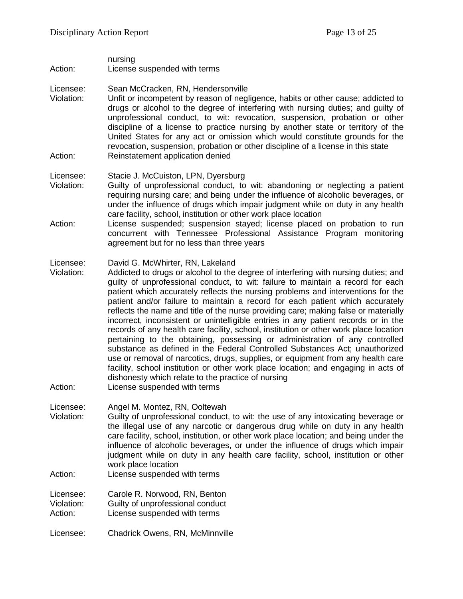- nursing Action: License suspended with terms
- 
- Licensee: Sean McCracken, RN, Hendersonville<br>Violation: Unfit or incompetent by reason of negl Unfit or incompetent by reason of negligence, habits or other cause; addicted to drugs or alcohol to the degree of interfering with nursing duties; and guilty of unprofessional conduct, to wit: revocation, suspension, probation or other discipline of a license to practice nursing by another state or territory of the United States for any act or omission which would constitute grounds for the revocation, suspension, probation or other discipline of a license in this state Action: Reinstatement application denied
- Licensee: Stacie J. McCuiston, LPN, Dyersburg
- Violation: Guilty of unprofessional conduct, to wit: abandoning or neglecting a patient requiring nursing care; and being under the influence of alcoholic beverages, or under the influence of drugs which impair judgment while on duty in any health care facility, school, institution or other work place location
- Action: License suspended; suspension stayed; license placed on probation to run concurrent with Tennessee Professional Assistance Program monitoring agreement but for no less than three years

#### Licensee: David G. McWhirter, RN, Lakeland

- Violation: Addicted to drugs or alcohol to the degree of interfering with nursing duties; and guilty of unprofessional conduct, to wit: failure to maintain a record for each patient which accurately reflects the nursing problems and interventions for the patient and/or failure to maintain a record for each patient which accurately reflects the name and title of the nurse providing care; making false or materially incorrect, inconsistent or unintelligible entries in any patient records or in the records of any health care facility, school, institution or other work place location pertaining to the obtaining, possessing or administration of any controlled substance as defined in the Federal Controlled Substances Act; unauthorized use or removal of narcotics, drugs, supplies, or equipment from any health care facility, school institution or other work place location; and engaging in acts of dishonesty which relate to the practice of nursing
- Action: License suspended with terms
- Licensee: Angel M. Montez, RN, Ooltewah
- Violation: Guilty of unprofessional conduct, to wit: the use of any intoxicating beverage or the illegal use of any narcotic or dangerous drug while on duty in any health care facility, school, institution, or other work place location; and being under the influence of alcoholic beverages, or under the influence of drugs which impair judgment while on duty in any health care facility, school, institution or other work place location
- Action: License suspended with terms

Licensee: Carole R. Norwood, RN, Benton Violation: Guilty of unprofessional conduct

- Action: License suspended with terms
- Licensee: Chadrick Owens, RN, McMinnville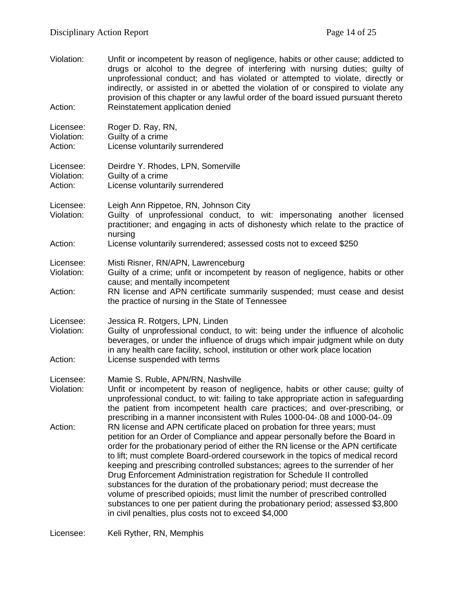| Violation:                         | Unfit or incompetent by reason of negligence, habits or other cause; addicted to<br>drugs or alcohol to the degree of interfering with nursing duties; guilty of<br>unprofessional conduct; and has violated or attempted to violate, directly or<br>indirectly, or assisted in or abetted the violation of or conspired to violate any<br>provision of this chapter or any lawful order of the board issued pursuant thereto                                                                                                                                                                                                                                                                                                                                                                        |
|------------------------------------|------------------------------------------------------------------------------------------------------------------------------------------------------------------------------------------------------------------------------------------------------------------------------------------------------------------------------------------------------------------------------------------------------------------------------------------------------------------------------------------------------------------------------------------------------------------------------------------------------------------------------------------------------------------------------------------------------------------------------------------------------------------------------------------------------|
| Action:                            | Reinstatement application denied                                                                                                                                                                                                                                                                                                                                                                                                                                                                                                                                                                                                                                                                                                                                                                     |
| Licensee:<br>Violation:<br>Action: | Roger D. Ray, RN,<br>Guilty of a crime<br>License voluntarily surrendered                                                                                                                                                                                                                                                                                                                                                                                                                                                                                                                                                                                                                                                                                                                            |
| Licensee:<br>Violation:<br>Action: | Deirdre Y. Rhodes, LPN, Somerville<br>Guilty of a crime<br>License voluntarily surrendered                                                                                                                                                                                                                                                                                                                                                                                                                                                                                                                                                                                                                                                                                                           |
| Licensee:<br>Violation:            | Leigh Ann Rippetoe, RN, Johnson City<br>Guilty of unprofessional conduct, to wit: impersonating another licensed<br>practitioner; and engaging in acts of dishonesty which relate to the practice of<br>nursing                                                                                                                                                                                                                                                                                                                                                                                                                                                                                                                                                                                      |
| Action:                            | License voluntarily surrendered; assessed costs not to exceed \$250                                                                                                                                                                                                                                                                                                                                                                                                                                                                                                                                                                                                                                                                                                                                  |
| Licensee:<br>Violation:            | Misti Risner, RN/APN, Lawrenceburg<br>Guilty of a crime; unfit or incompetent by reason of negligence, habits or other<br>cause; and mentally incompetent                                                                                                                                                                                                                                                                                                                                                                                                                                                                                                                                                                                                                                            |
| Action:                            | RN license and APN certificate summarily suspended; must cease and desist<br>the practice of nursing in the State of Tennessee                                                                                                                                                                                                                                                                                                                                                                                                                                                                                                                                                                                                                                                                       |
| Licensee:<br>Violation:            | Jessica R. Rotgers, LPN, Linden<br>Guilty of unprofessional conduct, to wit: being under the influence of alcoholic<br>beverages, or under the influence of drugs which impair judgment while on duty<br>in any health care facility, school, institution or other work place location                                                                                                                                                                                                                                                                                                                                                                                                                                                                                                               |
| Action:                            | License suspended with terms                                                                                                                                                                                                                                                                                                                                                                                                                                                                                                                                                                                                                                                                                                                                                                         |
| Licensee:<br>Violation:            | Mamie S. Ruble, APN/RN, Nashville<br>Unfit or incompetent by reason of negligence, habits or other cause; guilty of<br>unprofessional conduct, to wit: failing to take appropriate action in safeguarding<br>the patient from incompetent health care practices; and over-prescribing, or<br>prescribing in a manner inconsistent with Rules 1000-04-.08 and 1000-04-.09                                                                                                                                                                                                                                                                                                                                                                                                                             |
| Action:                            | RN license and APN certificate placed on probation for three years; must<br>petition for an Order of Compliance and appear personally before the Board in<br>order for the probationary period of either the RN license or the APN certificate<br>to lift; must complete Board-ordered coursework in the topics of medical record<br>keeping and prescribing controlled substances; agrees to the surrender of her<br>Drug Enforcement Administration registration for Schedule II controlled<br>substances for the duration of the probationary period; must decrease the<br>volume of prescribed opioids; must limit the number of prescribed controlled<br>substances to one per patient during the probationary period; assessed \$3,800<br>in civil penalties, plus costs not to exceed \$4,000 |

Licensee: Keli Ryther, RN, Memphis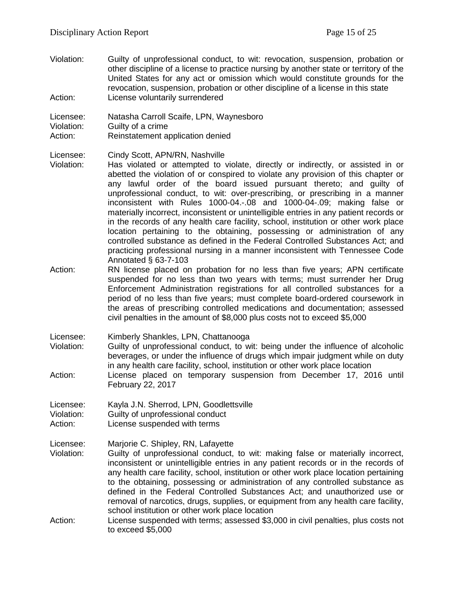Violation: Guilty of unprofessional conduct, to wit: revocation, suspension, probation or other discipline of a license to practice nursing by another state or territory of the United States for any act or omission which would constitute grounds for the revocation, suspension, probation or other discipline of a license in this state Action: License voluntarily surrendered

Licensee: Natasha Carroll Scaife, LPN, Waynesboro Violation: Guilty of a crime Action: Reinstatement application denied

Licensee: Cindy Scott, APN/RN, Nashville

- Violation: Has violated or attempted to violate, directly or indirectly, or assisted in or abetted the violation of or conspired to violate any provision of this chapter or any lawful order of the board issued pursuant thereto; and guilty of unprofessional conduct, to wit: over-prescribing, or prescribing in a manner inconsistent with Rules 1000-04.-.08 and 1000-04-.09; making false or materially incorrect, inconsistent or unintelligible entries in any patient records or in the records of any health care facility, school, institution or other work place location pertaining to the obtaining, possessing or administration of any controlled substance as defined in the Federal Controlled Substances Act; and practicing professional nursing in a manner inconsistent with Tennessee Code Annotated § 63-7-103
- Action: RN license placed on probation for no less than five years; APN certificate suspended for no less than two years with terms; must surrender her Drug Enforcement Administration registrations for all controlled substances for a period of no less than five years; must complete board-ordered coursework in the areas of prescribing controlled medications and documentation; assessed civil penalties in the amount of \$8,000 plus costs not to exceed \$5,000
- Licensee: Kimberly Shankles, LPN, Chattanooga Violation: Guilty of unprofessional conduct, to wit: being under the influence of alcoholic beverages, or under the influence of drugs which impair judgment while on duty in any health care facility, school, institution or other work place location Action: License placed on temporary suspension from December 17, 2016 until February 22, 2017

Licensee: Kayla J.N. Sherrod, LPN, Goodlettsville

- Violation: Guilty of unprofessional conduct
- Action: License suspended with terms

Licensee: Marjorie C. Shipley, RN, Lafayette

- Violation: Guilty of unprofessional conduct, to wit: making false or materially incorrect, inconsistent or unintelligible entries in any patient records or in the records of any health care facility, school, institution or other work place location pertaining to the obtaining, possessing or administration of any controlled substance as defined in the Federal Controlled Substances Act; and unauthorized use or removal of narcotics, drugs, supplies, or equipment from any health care facility, school institution or other work place location
- Action: License suspended with terms; assessed \$3,000 in civil penalties, plus costs not to exceed \$5,000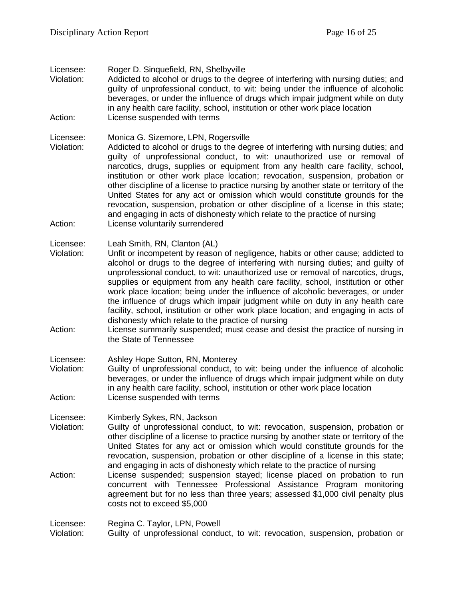Licensee: Roger D. Sinquefield, RN, Shelbyville

Violation: Addicted to alcohol or drugs to the degree of interfering with nursing duties; and guilty of unprofessional conduct, to wit: being under the influence of alcoholic beverages, or under the influence of drugs which impair judgment while on duty in any health care facility, school, institution or other work place location Action: License suspended with terms

Licensee: Monica G. Sizemore, LPN, Rogersville<br>Violation: Addicted to alcohol or drugs to the deg

- Addicted to alcohol or drugs to the degree of interfering with nursing duties; and guilty of unprofessional conduct, to wit: unauthorized use or removal of narcotics, drugs, supplies or equipment from any health care facility, school, institution or other work place location; revocation, suspension, probation or other discipline of a license to practice nursing by another state or territory of the United States for any act or omission which would constitute grounds for the revocation, suspension, probation or other discipline of a license in this state; and engaging in acts of dishonesty which relate to the practice of nursing Action: License voluntarily surrendered
- Licensee: Leah Smith, RN, Clanton (AL)
- Violation: Unfit or incompetent by reason of negligence, habits or other cause; addicted to alcohol or drugs to the degree of interfering with nursing duties; and guilty of unprofessional conduct, to wit: unauthorized use or removal of narcotics, drugs, supplies or equipment from any health care facility, school, institution or other work place location; being under the influence of alcoholic beverages, or under the influence of drugs which impair judgment while on duty in any health care facility, school, institution or other work place location; and engaging in acts of dishonesty which relate to the practice of nursing
- Action: License summarily suspended; must cease and desist the practice of nursing in the State of Tennessee
- Licensee: Ashley Hope Sutton, RN, Monterey<br>Violation: Guilty of unprofessional conduct. to
- Guilty of unprofessional conduct, to wit: being under the influence of alcoholic beverages, or under the influence of drugs which impair judgment while on duty in any health care facility, school, institution or other work place location Action: License suspended with terms

Licensee: Kimberly Sykes, RN, Jackson

- Violation: Guilty of unprofessional conduct, to wit: revocation, suspension, probation or other discipline of a license to practice nursing by another state or territory of the United States for any act or omission which would constitute grounds for the revocation, suspension, probation or other discipline of a license in this state; and engaging in acts of dishonesty which relate to the practice of nursing
- Action: License suspended; suspension stayed; license placed on probation to run concurrent with Tennessee Professional Assistance Program monitoring agreement but for no less than three years; assessed \$1,000 civil penalty plus costs not to exceed \$5,000

Licensee: Regina C. Taylor, LPN, Powell Violation: Guilty of unprofessional conduct, to wit: revocation, suspension, probation or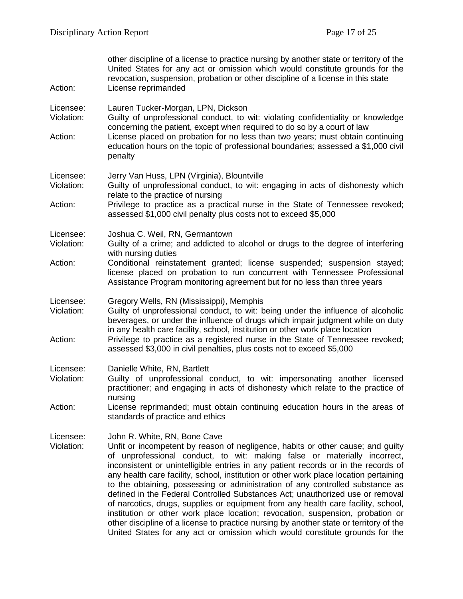| Action:                            | other discipline of a license to practice nursing by another state or territory of the<br>United States for any act or omission which would constitute grounds for the<br>revocation, suspension, probation or other discipline of a license in this state<br>License reprimanded                                                                                                                                                                                                                                                                                                                                                                                                                                                                                                                                                                                                             |
|------------------------------------|-----------------------------------------------------------------------------------------------------------------------------------------------------------------------------------------------------------------------------------------------------------------------------------------------------------------------------------------------------------------------------------------------------------------------------------------------------------------------------------------------------------------------------------------------------------------------------------------------------------------------------------------------------------------------------------------------------------------------------------------------------------------------------------------------------------------------------------------------------------------------------------------------|
| Licensee:<br>Violation:<br>Action: | Lauren Tucker-Morgan, LPN, Dickson<br>Guilty of unprofessional conduct, to wit: violating confidentiality or knowledge<br>concerning the patient, except when required to do so by a court of law<br>License placed on probation for no less than two years; must obtain continuing<br>education hours on the topic of professional boundaries; assessed a \$1,000 civil<br>penalty                                                                                                                                                                                                                                                                                                                                                                                                                                                                                                           |
| Licensee:<br>Violation:<br>Action: | Jerry Van Huss, LPN (Virginia), Blountville<br>Guilty of unprofessional conduct, to wit: engaging in acts of dishonesty which<br>relate to the practice of nursing<br>Privilege to practice as a practical nurse in the State of Tennessee revoked;<br>assessed \$1,000 civil penalty plus costs not to exceed \$5,000                                                                                                                                                                                                                                                                                                                                                                                                                                                                                                                                                                        |
| Licensee:<br>Violation:<br>Action: | Joshua C. Weil, RN, Germantown<br>Guilty of a crime; and addicted to alcohol or drugs to the degree of interfering<br>with nursing duties<br>Conditional reinstatement granted; license suspended; suspension stayed;<br>license placed on probation to run concurrent with Tennessee Professional<br>Assistance Program monitoring agreement but for no less than three years                                                                                                                                                                                                                                                                                                                                                                                                                                                                                                                |
| Licensee:<br>Violation:<br>Action: | Gregory Wells, RN (Mississippi), Memphis<br>Guilty of unprofessional conduct, to wit: being under the influence of alcoholic<br>beverages, or under the influence of drugs which impair judgment while on duty<br>in any health care facility, school, institution or other work place location<br>Privilege to practice as a registered nurse in the State of Tennessee revoked;<br>assessed \$3,000 in civil penalties, plus costs not to exceed \$5,000                                                                                                                                                                                                                                                                                                                                                                                                                                    |
| Licensee:<br>Violation:<br>Action: | Danielle White, RN, Bartlett<br>Guilty of unprofessional conduct, to wit: impersonating another licensed<br>practitioner; and engaging in acts of dishonesty which relate to the practice of<br>nursing<br>License reprimanded; must obtain continuing education hours in the areas of<br>standards of practice and ethics                                                                                                                                                                                                                                                                                                                                                                                                                                                                                                                                                                    |
| Licensee:<br>Violation:            | John R. White, RN, Bone Cave<br>Unfit or incompetent by reason of negligence, habits or other cause; and guilty<br>of unprofessional conduct, to wit: making false or materially incorrect,<br>inconsistent or unintelligible entries in any patient records or in the records of<br>any health care facility, school, institution or other work place location pertaining<br>to the obtaining, possessing or administration of any controlled substance as<br>defined in the Federal Controlled Substances Act; unauthorized use or removal<br>of narcotics, drugs, supplies or equipment from any health care facility, school,<br>institution or other work place location; revocation, suspension, probation or<br>other discipline of a license to practice nursing by another state or territory of the<br>United States for any act or omission which would constitute grounds for the |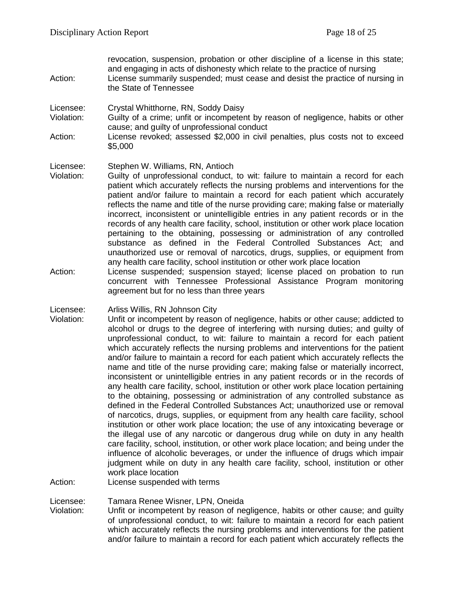revocation, suspension, probation or other discipline of a license in this state; and engaging in acts of dishonesty which relate to the practice of nursing Action: License summarily suspended; must cease and desist the practice of nursing in the State of Tennessee Licensee: Crystal Whitthorne, RN, Soddy Daisy<br>Violation: Guilty of a crime: unfit or incompeter Guilty of a crime: unfit or incompetent by reason of negligence, habits or other cause; and guilty of unprofessional conduct Action: License revoked; assessed \$2,000 in civil penalties, plus costs not to exceed \$5,000 Licensee: Stephen W. Williams, RN, Antioch Violation: Guilty of unprofessional conduct, to wit: failure to maintain a record for each patient which accurately reflects the nursing problems and interventions for the patient and/or failure to maintain a record for each patient which accurately reflects the name and title of the nurse providing care; making false or materially incorrect, inconsistent or unintelligible entries in any patient records or in the records of any health care facility, school, institution or other work place location pertaining to the obtaining, possessing or administration of any controlled substance as defined in the Federal Controlled Substances Act; and unauthorized use or removal of narcotics, drugs, supplies, or equipment from

- any health care facility, school institution or other work place location Action: License suspended; suspension stayed; license placed on probation to run concurrent with Tennessee Professional Assistance Program monitoring agreement but for no less than three years
- Licensee: Arliss Willis, RN Johnson City
- Violation: Unfit or incompetent by reason of negligence, habits or other cause; addicted to alcohol or drugs to the degree of interfering with nursing duties; and guilty of unprofessional conduct, to wit: failure to maintain a record for each patient which accurately reflects the nursing problems and interventions for the patient and/or failure to maintain a record for each patient which accurately reflects the name and title of the nurse providing care; making false or materially incorrect, inconsistent or unintelligible entries in any patient records or in the records of any health care facility, school, institution or other work place location pertaining to the obtaining, possessing or administration of any controlled substance as defined in the Federal Controlled Substances Act; unauthorized use or removal of narcotics, drugs, supplies, or equipment from any health care facility, school institution or other work place location; the use of any intoxicating beverage or the illegal use of any narcotic or dangerous drug while on duty in any health care facility, school, institution, or other work place location; and being under the influence of alcoholic beverages, or under the influence of drugs which impair judgment while on duty in any health care facility, school, institution or other work place location

Action: License suspended with terms

Licensee: Tamara Renee Wisner, LPN, Oneida

Violation: Unfit or incompetent by reason of negligence, habits or other cause; and guilty of unprofessional conduct, to wit: failure to maintain a record for each patient which accurately reflects the nursing problems and interventions for the patient and/or failure to maintain a record for each patient which accurately reflects the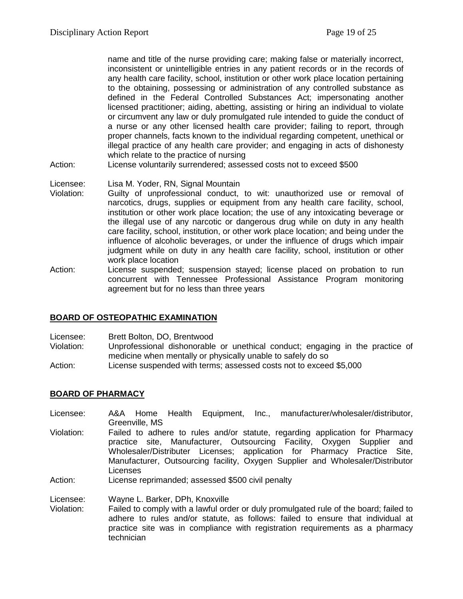name and title of the nurse providing care; making false or materially incorrect, inconsistent or unintelligible entries in any patient records or in the records of any health care facility, school, institution or other work place location pertaining to the obtaining, possessing or administration of any controlled substance as defined in the Federal Controlled Substances Act; impersonating another licensed practitioner; aiding, abetting, assisting or hiring an individual to violate or circumvent any law or duly promulgated rule intended to guide the conduct of a nurse or any other licensed health care provider; failing to report, through proper channels, facts known to the individual regarding competent, unethical or illegal practice of any health care provider; and engaging in acts of dishonesty which relate to the practice of nursing

Action: License voluntarily surrendered; assessed costs not to exceed \$500

#### Licensee: Lisa M. Yoder, RN, Signal Mountain

- Violation: Guilty of unprofessional conduct, to wit: unauthorized use or removal of narcotics, drugs, supplies or equipment from any health care facility, school, institution or other work place location; the use of any intoxicating beverage or the illegal use of any narcotic or dangerous drug while on duty in any health care facility, school, institution, or other work place location; and being under the influence of alcoholic beverages, or under the influence of drugs which impair judgment while on duty in any health care facility, school, institution or other work place location
- Action: License suspended; suspension stayed; license placed on probation to run concurrent with Tennessee Professional Assistance Program monitoring agreement but for no less than three years

#### **BOARD OF OSTEOPATHIC EXAMINATION**

- Licensee: Brett Bolton, DO, Brentwood
- Violation: Unprofessional dishonorable or unethical conduct; engaging in the practice of medicine when mentally or physically unable to safely do so
- Action: License suspended with terms; assessed costs not to exceed \$5,000

#### **BOARD OF PHARMACY**

- Licensee: A&A Home Health Equipment, Inc., manufacturer/wholesaler/distributor, Greenville, MS
- Violation: Failed to adhere to rules and/or statute, regarding application for Pharmacy practice site, Manufacturer, Outsourcing Facility, Oxygen Supplier and Wholesaler/Distributer Licenses; application for Pharmacy Practice Site, Manufacturer, Outsourcing facility, Oxygen Supplier and Wholesaler/Distributor Licenses
- Action: License reprimanded; assessed \$500 civil penalty
- Licensee: Wayne L. Barker, DPh, Knoxville<br>Violation: Failed to comply with a lawful ord
- Failed to comply with a lawful order or duly promulgated rule of the board; failed to adhere to rules and/or statute, as follows: failed to ensure that individual at practice site was in compliance with registration requirements as a pharmacy technician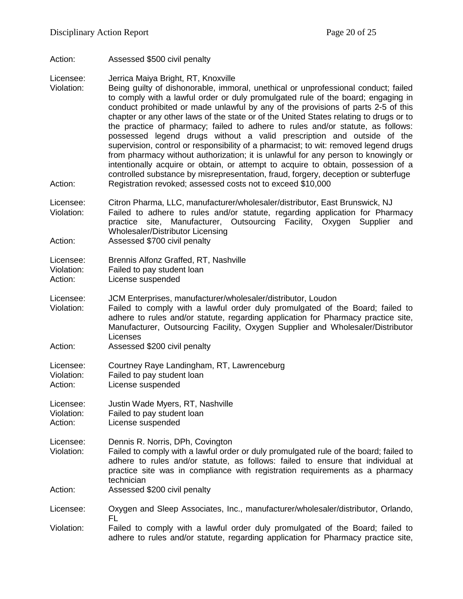Action: Assessed \$500 civil penalty

Licensee: Jerrica Maiya Bright, RT, Knoxville

- Violation: Being guilty of dishonorable, immoral, unethical or unprofessional conduct; failed to comply with a lawful order or duly promulgated rule of the board; engaging in conduct prohibited or made unlawful by any of the provisions of parts 2-5 of this chapter or any other laws of the state or of the United States relating to drugs or to the practice of pharmacy; failed to adhere to rules and/or statute, as follows: possessed legend drugs without a valid prescription and outside of the supervision, control or responsibility of a pharmacist; to wit: removed legend drugs from pharmacy without authorization; it is unlawful for any person to knowingly or intentionally acquire or obtain, or attempt to acquire to obtain, possession of a controlled substance by misrepresentation, fraud, forgery, deception or subterfuge Action: Registration revoked; assessed costs not to exceed \$10,000
- Licensee: Citron Pharma, LLC, manufacturer/wholesaler/distributor, East Brunswick, NJ Violation: Failed to adhere to rules and/or statute, regarding application for Pharmacy practice site, Manufacturer, Outsourcing Facility, Oxygen Supplier and

Wholesaler/Distributor Licensing Action: Assessed \$700 civil penalty

Licensee: Brennis Alfonz Graffed, RT, Nashville

Violation: Failed to pay student loan<br>Action: License suspended

License suspended

Licensee: JCM Enterprises, manufacturer/wholesaler/distributor, Loudon

- Violation: Failed to comply with a lawful order duly promulgated of the Board; failed to adhere to rules and/or statute, regarding application for Pharmacy practice site, Manufacturer, Outsourcing Facility, Oxygen Supplier and Wholesaler/Distributor Licenses
- Action: Assessed \$200 civil penalty

Licensee: Courtney Raye Landingham, RT, Lawrenceburg Violation: Failed to pay student loan

Action: License suspended

Licensee: Justin Wade Myers, RT, Nashville Violation: Failed to pay student loan<br>Action: License suspended License suspended

Licensee: Dennis R. Norris, DPh, Covington

- Violation: Failed to comply with a lawful order or duly promulgated rule of the board; failed to adhere to rules and/or statute, as follows: failed to ensure that individual at practice site was in compliance with registration requirements as a pharmacy technician
- Action: Assessed \$200 civil penalty
- Licensee: Oxygen and Sleep Associates, Inc., manufacturer/wholesaler/distributor, Orlando, FL

Violation: Failed to comply with a lawful order duly promulgated of the Board; failed to adhere to rules and/or statute, regarding application for Pharmacy practice site,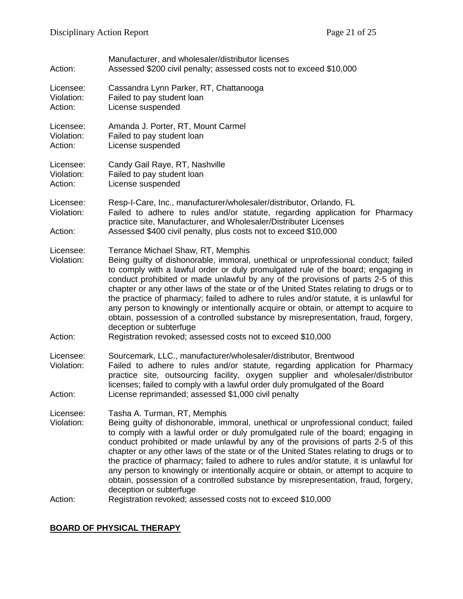| Action:                            | Manufacturer, and wholesaler/distributor licenses<br>Assessed \$200 civil penalty; assessed costs not to exceed \$10,000                                                                                                                                                                                                                                                                                                                                                                                                                                                                                                                                                                                                                                      |
|------------------------------------|---------------------------------------------------------------------------------------------------------------------------------------------------------------------------------------------------------------------------------------------------------------------------------------------------------------------------------------------------------------------------------------------------------------------------------------------------------------------------------------------------------------------------------------------------------------------------------------------------------------------------------------------------------------------------------------------------------------------------------------------------------------|
| Licensee:<br>Violation:<br>Action: | Cassandra Lynn Parker, RT, Chattanooga<br>Failed to pay student loan<br>License suspended                                                                                                                                                                                                                                                                                                                                                                                                                                                                                                                                                                                                                                                                     |
| Licensee:<br>Violation:<br>Action: | Amanda J. Porter, RT, Mount Carmel<br>Failed to pay student loan<br>License suspended                                                                                                                                                                                                                                                                                                                                                                                                                                                                                                                                                                                                                                                                         |
| Licensee:<br>Violation:<br>Action: | Candy Gail Raye, RT, Nashville<br>Failed to pay student loan<br>License suspended                                                                                                                                                                                                                                                                                                                                                                                                                                                                                                                                                                                                                                                                             |
| Licensee:<br>Violation:<br>Action: | Resp-I-Care, Inc., manufacturer/wholesaler/distributor, Orlando, FL<br>Failed to adhere to rules and/or statute, regarding application for Pharmacy<br>practice site, Manufacturer, and Wholesaler/Distributer Licenses<br>Assessed \$400 civil penalty, plus costs not to exceed \$10,000                                                                                                                                                                                                                                                                                                                                                                                                                                                                    |
| Licensee:<br>Violation:<br>Action: | Terrance Michael Shaw, RT, Memphis<br>Being guilty of dishonorable, immoral, unethical or unprofessional conduct; failed<br>to comply with a lawful order or duly promulgated rule of the board; engaging in<br>conduct prohibited or made unlawful by any of the provisions of parts 2-5 of this<br>chapter or any other laws of the state or of the United States relating to drugs or to<br>the practice of pharmacy; failed to adhere to rules and/or statute, it is unlawful for<br>any person to knowingly or intentionally acquire or obtain, or attempt to acquire to<br>obtain, possession of a controlled substance by misrepresentation, fraud, forgery,<br>deception or subterfuge<br>Registration revoked; assessed costs not to exceed \$10,000 |
| Licensee:<br>Violation:<br>Action: | Sourcemark, LLC., manufacturer/wholesaler/distributor, Brentwood<br>Failed to adhere to rules and/or statute, regarding application for Pharmacy<br>practice site, outsourcing facility, oxygen supplier and wholesaler/distributor<br>licenses; failed to comply with a lawful order duly promulgated of the Board<br>License reprimanded; assessed \$1,000 civil penalty                                                                                                                                                                                                                                                                                                                                                                                    |
| Licensee:<br>Violation:<br>Action: | Tasha A. Turman, RT, Memphis<br>Being guilty of dishonorable, immoral, unethical or unprofessional conduct; failed<br>to comply with a lawful order or duly promulgated rule of the board; engaging in<br>conduct prohibited or made unlawful by any of the provisions of parts 2-5 of this<br>chapter or any other laws of the state or of the United States relating to drugs or to<br>the practice of pharmacy; failed to adhere to rules and/or statute, it is unlawful for<br>any person to knowingly or intentionally acquire or obtain, or attempt to acquire to<br>obtain, possession of a controlled substance by misrepresentation, fraud, forgery,<br>deception or subterfuge<br>Registration revoked; assessed costs not to exceed \$10,000       |
|                                    |                                                                                                                                                                                                                                                                                                                                                                                                                                                                                                                                                                                                                                                                                                                                                               |

# **BOARD OF PHYSICAL THERAPY**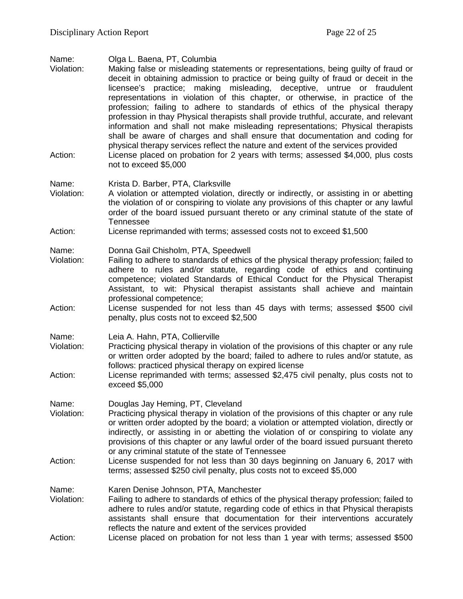Name: Olga L. Baena, PT, Columbia

Making false or misleading statements or representations, being guilty of fraud or deceit in obtaining admission to practice or being guilty of fraud or deceit in the licensee's practice; making misleading, deceptive, untrue or fraudulent representations in violation of this chapter, or otherwise, in practice of the profession; failing to adhere to standards of ethics of the physical therapy profession in thay Physical therapists shall provide truthful, accurate, and relevant information and shall not make misleading representations; Physical therapists shall be aware of charges and shall ensure that documentation and coding for physical therapy services reflect the nature and extent of the services provided Action: License placed on probation for 2 years with terms; assessed \$4,000, plus costs not to exceed \$5,000

#### Name: Krista D. Barber, PTA, Clarksville

- Violation: A violation or attempted violation, directly or indirectly, or assisting in or abetting the violation of or conspiring to violate any provisions of this chapter or any lawful order of the board issued pursuant thereto or any criminal statute of the state of Tennessee
- Action: License reprimanded with terms; assessed costs not to exceed \$1,500

Name: Donna Gail Chisholm, PTA, Speedwell

- Violation: Failing to adhere to standards of ethics of the physical therapy profession; failed to adhere to rules and/or statute, regarding code of ethics and continuing competence; violated Standards of Ethical Conduct for the Physical Therapist Assistant, to wit: Physical therapist assistants shall achieve and maintain professional competence;
- Action: License suspended for not less than 45 days with terms; assessed \$500 civil penalty, plus costs not to exceed \$2,500
- Name: Leia A. Hahn, PTA, Collierville
- Violation: Practicing physical therapy in violation of the provisions of this chapter or any rule or written order adopted by the board; failed to adhere to rules and/or statute, as follows: practiced physical therapy on expired license
- Action: License reprimanded with terms; assessed \$2,475 civil penalty, plus costs not to exceed \$5,000

Name: Douglas Jay Heming, PT, Cleveland

- Violation: Practicing physical therapy in violation of the provisions of this chapter or any rule or written order adopted by the board; a violation or attempted violation, directly or indirectly, or assisting in or abetting the violation of or conspiring to violate any provisions of this chapter or any lawful order of the board issued pursuant thereto or any criminal statute of the state of Tennessee
- Action: License suspended for not less than 30 days beginning on January 6, 2017 with terms; assessed \$250 civil penalty, plus costs not to exceed \$5,000
- Name: Karen Denise Johnson, PTA, Manchester
- Violation: Failing to adhere to standards of ethics of the physical therapy profession; failed to adhere to rules and/or statute, regarding code of ethics in that Physical therapists assistants shall ensure that documentation for their interventions accurately reflects the nature and extent of the services provided
- Action: License placed on probation for not less than 1 year with terms; assessed \$500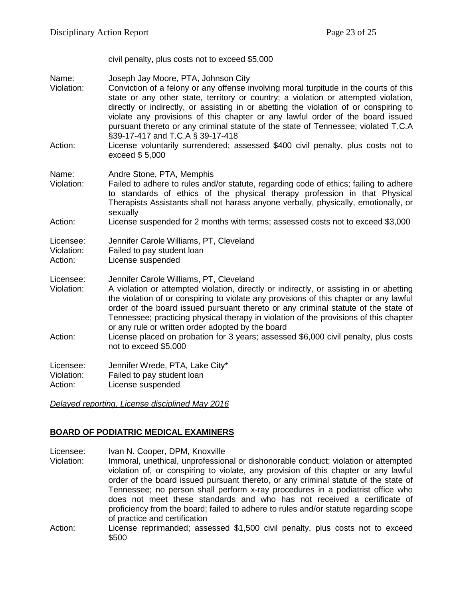civil penalty, plus costs not to exceed \$5,000

Name: Joseph Jay Moore, PTA, Johnson City

- Violation: Conviction of a felony or any offense involving moral turpitude in the courts of this state or any other state, territory or country; a violation or attempted violation, directly or indirectly, or assisting in or abetting the violation of or conspiring to violate any provisions of this chapter or any lawful order of the board issued pursuant thereto or any criminal statute of the state of Tennessee; violated T.C.A §39-17-417 and T.C.A § 39-17-418
- Action: License voluntarily surrendered; assessed \$400 civil penalty, plus costs not to exceed \$ 5,000

Name: Andre Stone, PTA, Memphis

Violation: Failed to adhere to rules and/or statute, regarding code of ethics; failing to adhere to standards of ethics of the physical therapy profession in that Physical Therapists Assistants shall not harass anyone verbally, physically, emotionally, or sexually

#### Action: License suspended for 2 months with terms; assessed costs not to exceed \$3,000

| Licensee: |  |  |  |  | Jennifer Carole Williams, PT, Cleveland |
|-----------|--|--|--|--|-----------------------------------------|
|-----------|--|--|--|--|-----------------------------------------|

Violation: Failed to pay student loan

- Action: License suspended
- Licensee: Jennifer Carole Williams, PT, Cleveland<br>Violation: A violation or attempted violation. direct
- A violation or attempted violation, directly or indirectly, or assisting in or abetting the violation of or conspiring to violate any provisions of this chapter or any lawful order of the board issued pursuant thereto or any criminal statute of the state of Tennessee; practicing physical therapy in violation of the provisions of this chapter or any rule or written order adopted by the board
- Action: License placed on probation for 3 years; assessed \$6,000 civil penalty, plus costs not to exceed \$5,000

Licensee: Jennifer Wrede, PTA, Lake City\* Violation: Failed to pay student loan Action: License suspended

*Delayed reporting, License disciplined May 2016*

# **BOARD OF PODIATRIC MEDICAL EXAMINERS**

Licensee: Ivan N. Cooper, DPM, Knoxville

- Violation: Immoral, unethical, unprofessional or dishonorable conduct; violation or attempted violation of, or conspiring to violate, any provision of this chapter or any lawful order of the board issued pursuant thereto, or any criminal statute of the state of Tennessee; no person shall perform x-ray procedures in a podiatrist office who does not meet these standards and who has not received a certificate of proficiency from the board; failed to adhere to rules and/or statute regarding scope of practice and certification
- Action: License reprimanded; assessed \$1,500 civil penalty, plus costs not to exceed \$500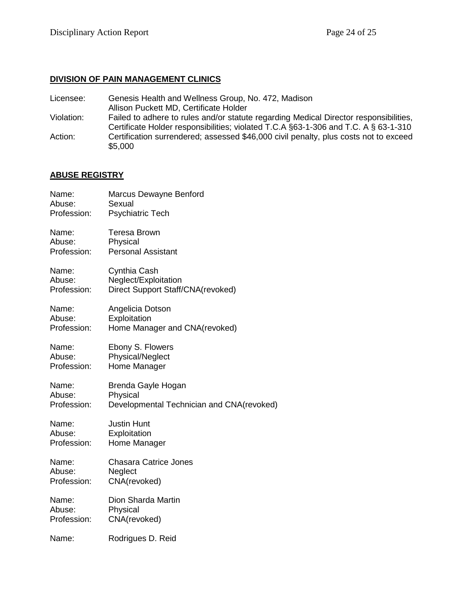### **DIVISION OF PAIN MANAGEMENT CLINICS**

- Licensee: Genesis Health and Wellness Group, No. 472, Madison
- Allison Puckett MD, Certificate Holder
- Violation: Failed to adhere to rules and/or statute regarding Medical Director responsibilities, Certificate Holder responsibilities; violated T.C.A §63-1-306 and T.C. A § 63-1-310 Action: Certification surrendered; assessed \$46,000 civil penalty, plus costs not to exceed \$5,000

# **ABUSE REGISTRY**

| Name:       | Marcus Dewayne Benford                    |
|-------------|-------------------------------------------|
| Abuse:      | Sexual                                    |
| Profession: | <b>Psychiatric Tech</b>                   |
| Name:       | <b>Teresa Brown</b>                       |
| Abuse:      | Physical                                  |
| Profession: | <b>Personal Assistant</b>                 |
| Name:       | Cynthia Cash                              |
| Abuse:      | Neglect/Exploitation                      |
| Profession: | Direct Support Staff/CNA(revoked)         |
| Name:       | Angelicia Dotson                          |
| Abuse:      | Exploitation                              |
| Profession: | Home Manager and CNA(revoked)             |
| Name:       | Ebony S. Flowers                          |
| Abuse:      | Physical/Neglect                          |
| Profession: | Home Manager                              |
| Name:       | Brenda Gayle Hogan                        |
| Abuse:      | Physical                                  |
| Profession: | Developmental Technician and CNA(revoked) |
| Name:       | <b>Justin Hunt</b>                        |
| Abuse:      | Exploitation                              |
| Profession: | Home Manager                              |
| Name:       | <b>Chasara Catrice Jones</b>              |
| Abuse:      | Neglect                                   |
| Profession: | CNA(revoked)                              |
| Name:       | Dion Sharda Martin                        |
| Abuse:      | Physical                                  |
| Profession: | CNA(revoked)                              |
| Name:       | Rodrigues D. Reid                         |